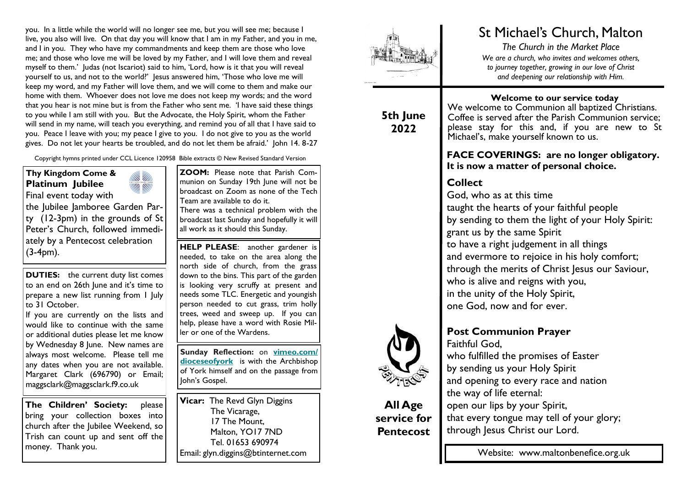you. In a little while the world will no longer see me, but you will see me; because I live, you also will live. On that day you will know that I am in my Father, and you in me, and I in you. They who have my commandments and keep them are those who love me; and those who love me will be loved by my Father, and I will love them and reveal myself to them.' Judas (not Iscariot) said to him, 'Lord, how is it that you will reveal yourself to us, and not to the world?' Jesus answered him, 'Those who love me will keep my word, and my Father will love them, and we will come to them and make our home with them. Whoever does not love me does not keep my words; and the word that you hear is not mine but is from the Father who sent me. 'I have said these things to you while I am still with you. But the Advocate, the Holy Spirit, whom the Father will send in my name, will teach you everything, and remind you of all that I have said to you. Peace I leave with you; my peace I give to you. I do not give to you as the world gives. Do not let your hearts be troubled, and do not let them be afraid.' John 14. 8-27

Copyright hymns printed under CCL Licence 120958 Bible extracts © New Revised Standard Version

#### **Thy Kingdom Come & Platinum Jubilee**  Final event today with



the Jubilee Jamboree Garden Party (12-3pm) in the grounds of St Peter's Church, followed immediately by a Pentecost celebration (3-4pm).

**DUTIES:** the current duty list comes to an end on 26th June and it's time to prepare a new list running from 1 July to 31 October.

If you are currently on the lists and would like to continue with the same or additional duties please let me know by Wednesday 8 June. New names are always most welcome. Please tell me any dates when you are not available. Margaret Clark (696790) or Email; maggsclark@maggsclark.f9.co.uk

**The Children' Society:** please bring your collection boxes into church after the Jubilee Weekend, so Trish can count up and sent off the money. Thank you.

**ZOOM:** Please note that Parish Communion on Sunday 19th June will not be broadcast on Zoom as none of the Tech Team are available to do it.

There was a technical problem with the broadcast last Sunday and hopefully it will all work as it should this Sunday.

**HELP PLEASE**: another gardener is needed, to take on the area along the north side of church, from the grass down to the bins. This part of the garden is looking very scruffy at present and needs some TLC. Energetic and youngish person needed to cut grass, trim holly trees, weed and sweep up. If you can help, please have a word with Rosie Miller or one of the Wardens.

**Sunday Reflection:** on **[vimeo.com/](https://dioceseofyork.us7.list-manage.com/track/click?u=975ba10dfea3bbb80973e38db&id=cf7c547241&e=66f37a0936) [dioceseofyork](https://dioceseofyork.us7.list-manage.com/track/click?u=975ba10dfea3bbb80973e38db&id=cf7c547241&e=66f37a0936)** is with the Archbishop of York himself and on the passage from John's Gospel.

**Vicar:** The Revd Glyn Diggins The Vicarage, 17 The Mount, Malton, YO17 7ND Tel. 01653 690974 Email: glyn.diggins@btinternet.com



# **5th June 2022**

# St Michael's Church, Malton

*The Church in the Market Place We are a church, who invites and welcomes others, to journey together, growing in our love of Christ and deepening our relationship with Him.*

**Welcome to our service today**

We welcome to Communion all baptized Christians. Coffee is served after the Parish Communion service; please stay for this and, if you are new to St Michael's, make yourself known to us.

## **FACE COVERINGS: are no longer obligatory. It is now a matter of personal choice.**

# **Collect**

God, who as at this time taught the hearts of your faithful people by sending to them the light of your Holy Spirit: grant us by the same Spirit to have a right judgement in all things and evermore to rejoice in his holy comfort; through the merits of Christ Jesus our Saviour, who is alive and reigns with you, in the unity of the Holy Spirit, one God, now and for ever.

## **Post Communion Prayer** Faithful God,

who fulfilled the promises of Easter by sending us your Holy Spirit and opening to every race and nation the way of life eternal: open our lips by your Spirit, that every tongue may tell of your glory; through Jesus Christ our Lord.

Website: www.maltonbenefice.org.uk



**All Age service for Pentecost**